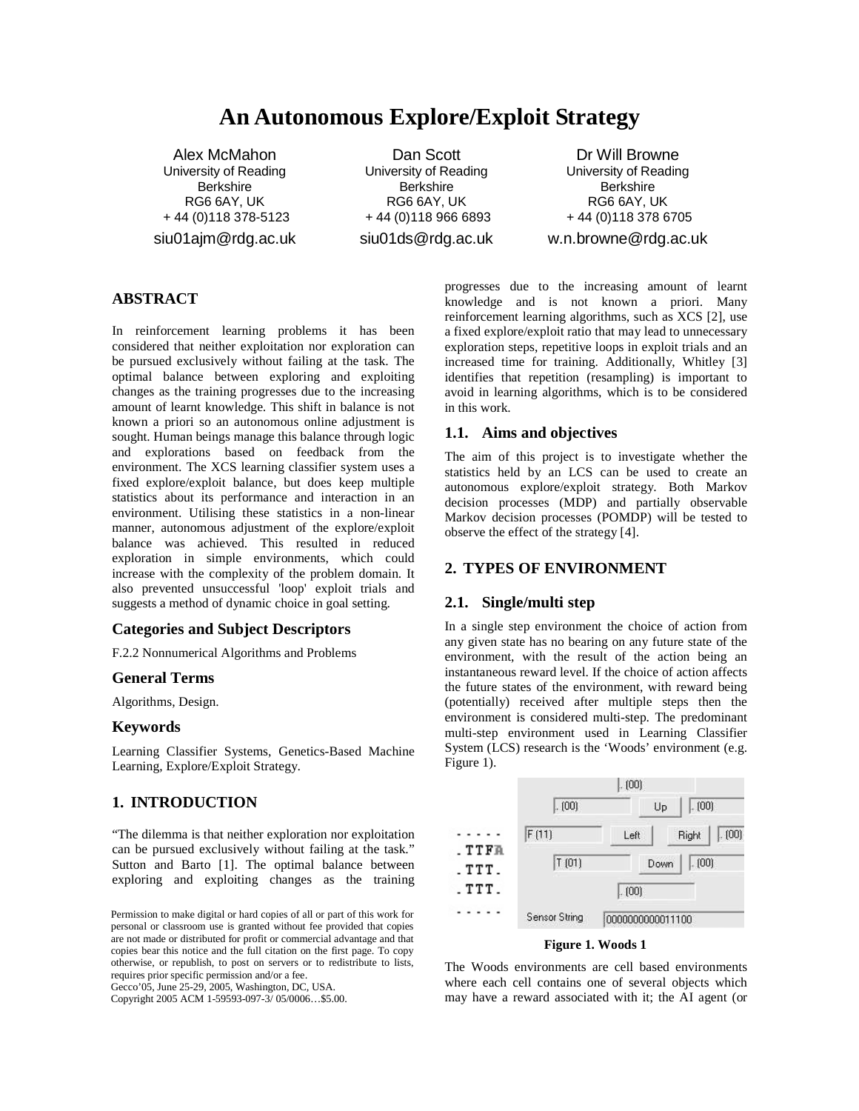# **An Autonomous Explore/Exploit Strategy**

Alex McMahon University of Reading **Berkshire** RG6 6AY, UK + 44 (0)118 378-5123 siu01ajm@rdg.ac.uk

Dan Scott University of Reading Berkshire RG6 6AY, UK + 44 (0)118 966 6893 siu01ds@rdg.ac.uk

Dr Will Browne University of Reading **Berkshire** RG6 6AY, UK + 44 (0)118 378 6705 w.n.browne@rdg.ac.uk

## **ABSTRACT**

In reinforcement learning problems it has been considered that neither exploitation nor exploration can be pursued exclusively without failing at the task. The optimal balance between exploring and exploiting changes as the training progresses due to the increasing amount of learnt knowledge. This shift in balance is not known a priori so an autonomous online adjustment is sought. Human beings manage this balance through logic and explorations based on feedback from the environment. The XCS learning classifier system uses a fixed explore/exploit balance, but does keep multiple statistics about its performance and interaction in an environment. Utilising these statistics in a non-linear manner, autonomous adjustment of the explore/exploit balance was achieved. This resulted in reduced exploration in simple environments, which could increase with the complexity of the problem domain. It also prevented unsuccessful 'loop' exploit trials and suggests a method of dynamic choice in goal setting.

#### **Categories and Subject Descriptors**

F.2.2 Nonnumerical Algorithms and Problems

#### **General Terms**

Algorithms, Design.

#### **Keywords**

Learning Classifier Systems, Genetics-Based Machine Learning, Explore/Exploit Strategy.

## **1. INTRODUCTION**

"The dilemma is that neither exploration nor exploitation can be pursued exclusively without failing at the task." Sutton and Barto [1]. The optimal balance between exploring and exploiting changes as the training

Gecco'05, June 25-29, 2005, Washington, DC, USA.

Copyright 2005 ACM 1-59593-097-3/ 05/0006…\$5.00.

progresses due to the increasing amount of learnt knowledge and is not known a priori. Many reinforcement learning algorithms, such as XCS [2], use a fixed explore/exploit ratio that may lead to unnecessary exploration steps, repetitive loops in exploit trials and an increased time for training. Additionally, Whitley [3] identifies that repetition (resampling) is important to avoid in learning algorithms, which is to be considered in this work.

#### **1.1. Aims and objectives**

The aim of this project is to investigate whether the statistics held by an LCS can be used to create an autonomous explore/exploit strategy. Both Markov decision processes (MDP) and partially observable Markov decision processes (POMDP) will be tested to observe the effect of the strategy [4].

#### **2. TYPES OF ENVIRONMENT**

#### **2.1. Single/multi step**

In a single step environment the choice of action from any given state has no bearing on any future state of the environment, with the result of the action being an instantaneous reward level. If the choice of action affects the future states of the environment, with reward being (potentially) received after multiple steps then the environment is considered multi-step. The predominant multi-step environment used in Learning Classifier System (LCS) research is the 'Woods' environment (e.g. Figure 1).



## **Figure 1. Woods 1**

The Woods environments are cell based environments where each cell contains one of several objects which may have a reward associated with it; the AI agent (or

Permission to make digital or hard copies of all or part of this work for personal or classroom use is granted without fee provided that copies are not made or distributed for profit or commercial advantage and that copies bear this notice and the full citation on the first page. To copy otherwise, or republish, to post on servers or to redistribute to lists, requires prior specific permission and/or a fee.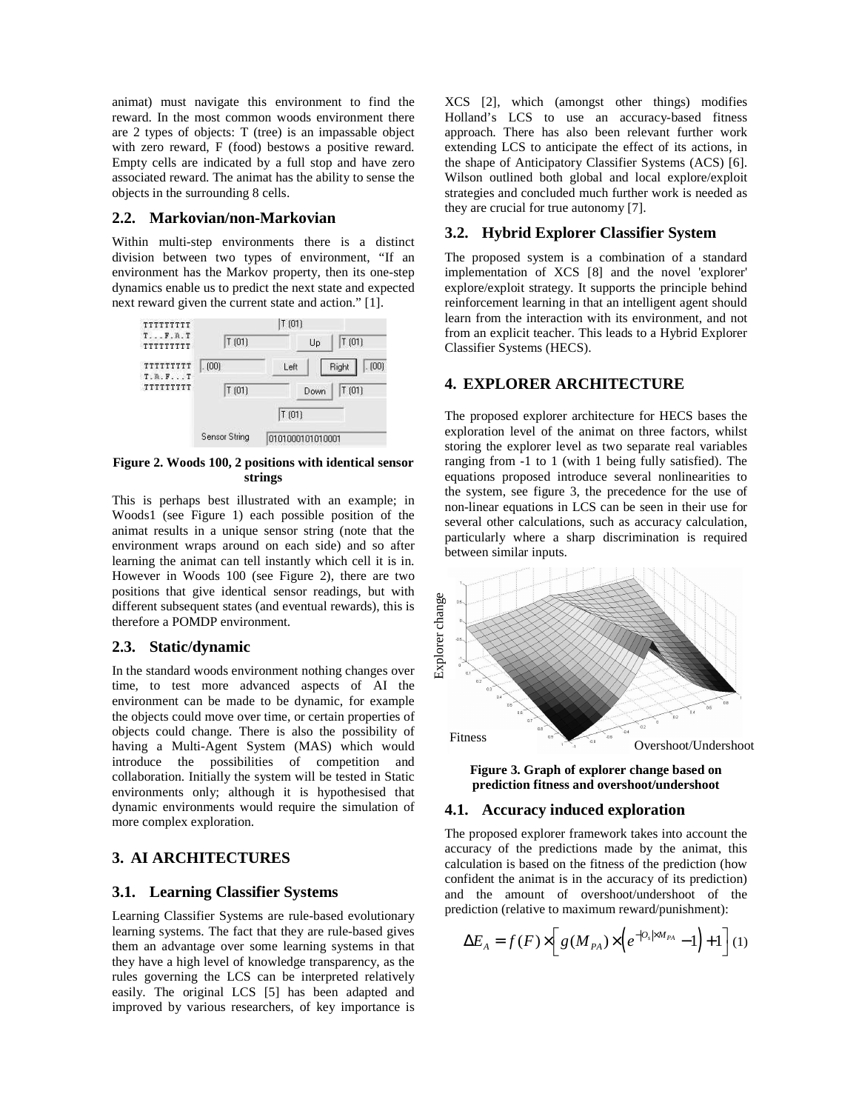animat) must navigate this environment to find the reward. In the most common woods environment there are 2 types of objects: T (tree) is an impassable object with zero reward, F (food) bestows a positive reward. Empty cells are indicated by a full stop and have zero associated reward. The animat has the ability to sense the objects in the surrounding 8 cells.

#### **2.2. Markovian/non-Markovian**

Within multi-step environments there is a distinct division between two types of environment, "If an environment has the Markov property, then its one-step dynamics enable us to predict the next state and expected next reward given the current state and action." [1].



**Figure 2. Woods 100, 2 positions with identical sensor strings**

This is perhaps best illustrated with an example; in Woods1 (see Figure 1) each possible position of the animat results in a unique sensor string (note that the environment wraps around on each side) and so after learning the animat can tell instantly which cell it is in. However in Woods 100 (see Figure 2), there are two positions that give identical sensor readings, but with different subsequent states (and eventual rewards), this is therefore a POMDP environment.

#### **2.3. Static/dynamic**

In the standard woods environment nothing changes over time, to test more advanced aspects of AI the environment can be made to be dynamic, for example the objects could move over time, or certain properties of objects could change. There is also the possibility of having a Multi-Agent System (MAS) which would introduce the possibilities of competition and collaboration. Initially the system will be tested in Static environments only; although it is hypothesised that dynamic environments would require the simulation of more complex exploration.

## **3. AI ARCHITECTURES**

#### **3.1. Learning Classifier Systems**

Learning Classifier Systems are rule-based evolutionary learning systems. The fact that they are rule-based gives them an advantage over some learning systems in that they have a high level of knowledge transparency, as the rules governing the LCS can be interpreted relatively easily. The original LCS [5] has been adapted and improved by various researchers, of key importance is XCS [2], which (amongst other things) modifies Holland's LCS to use an accuracy-based fitness approach. There has also been relevant further work extending LCS to anticipate the effect of its actions, in the shape of Anticipatory Classifier Systems (ACS) [6]. Wilson outlined both global and local explore/exploit strategies and concluded much further work is needed as they are crucial for true autonomy [7].

## **3.2. Hybrid Explorer Classifier System**

The proposed system is a combination of a standard implementation of XCS [8] and the novel 'explorer' explore/exploit strategy. It supports the principle behind reinforcement learning in that an intelligent agent should learn from the interaction with its environment, and not from an explicit teacher. This leads to a Hybrid Explorer Classifier Systems (HECS).

#### **4. EXPLORER ARCHITECTURE**

The proposed explorer architecture for HECS bases the exploration level of the animat on three factors, whilst storing the explorer level as two separate real variables ranging from -1 to 1 (with 1 being fully satisfied). The equations proposed introduce several nonlinearities to the system, see figure 3, the precedence for the use of non-linear equations in LCS can be seen in their use for several other calculations, such as accuracy calculation, particularly where a sharp discrimination is required between similar inputs.



**Figure 3. Graph of explorer change based on prediction fitness and overshoot/undershoot**

#### **4.1. Accuracy induced exploration**

The proposed explorer framework takes into account the accuracy of the predictions made by the animat, this calculation is based on the fitness of the prediction (how confident the animat is in the accuracy of its prediction) and the amount of overshoot/undershoot of the prediction (relative to maximum reward/punishment):

$$
\Delta E_A = f(F) \times \left[ g(M_{PA}) \times \left( e^{-|O_s| \times M_{PA}} - 1 \right) + 1 \right] (1)
$$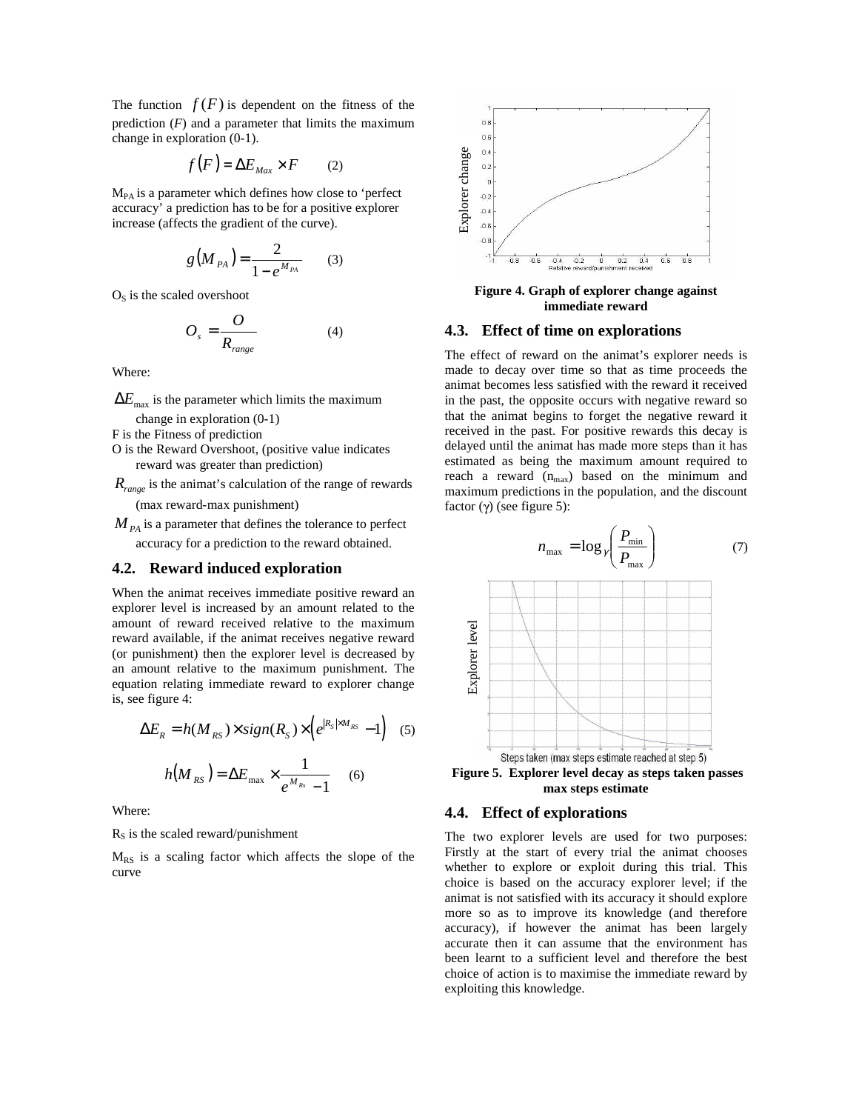The function  $f(F)$  is dependent on the fitness of the prediction  $(F)$  and a parameter that limits the maximum change in exploration (0-1).

$$
f(F) = \Delta E_{\text{Max}} \times F \qquad (2)
$$

MPA is a parameter which defines how close to 'perfect accuracy' a prediction has to be for a positive explorer increase (affects the gradient of the curve).

$$
g(M_{PA}) = \frac{2}{1 - e^{M_{PA}}} \qquad (3)
$$

 $O<sub>S</sub>$  is the scaled overshoot

$$
O_s = \frac{O}{R_{range}}\tag{4}
$$

Where:

 $\Delta E_{\text{max}}$  is the parameter which limits the maximum change in exploration (0-1)

F is the Fitness of prediction

O is the Reward Overshoot, (positive value indicates reward was greater than prediction)

*Rrange* is the animat's calculation of the range of rewards (max reward-max punishment)

 $M_{\rm \scriptscriptstyle PA}$  is a parameter that defines the tolerance to perfect

accuracy for a prediction to the reward obtained.

#### **4.2. Reward induced exploration**

When the animat receives immediate positive reward an explorer level is increased by an amount related to the amount of reward received relative to the maximum reward available, if the animat receives negative reward (or punishment) then the explorer level is decreased by an amount relative to the maximum punishment. The equation relating immediate reward to explorer change is, see figure 4:

$$
\Delta E_R = h(M_{RS}) \times sign(R_S) \times \left(e^{|R_S| \times M_{RS}} - 1\right) \quad (5)
$$

$$
h(M_{RS}) = \Delta E_{\text{max}} \times \frac{1}{e^{M_{Rs}} - 1} \quad (6)
$$

Where:

 $R<sub>s</sub>$  is the scaled reward/punishment

MRS is a scaling factor which affects the slope of the curve



**Figure 4. Graph of explorer change against immediate reward**

#### **4.3. Effect of time on explorations**

The effect of reward on the animat's explorer needs is made to decay over time so that as time proceeds the animat becomes less satisfied with the reward it received in the past, the opposite occurs with negative reward so that the animat begins to forget the negative reward it received in the past. For positive rewards this decay is delayed until the animat has made more steps than it has estimated as being the maximum amount required to reach a reward  $(n_{max})$  based on the minimum and maximum predictions in the population, and the discount factor  $(\gamma)$  (see figure 5):



**max steps estimate**

## **4.4. Effect of explorations**

The two explorer levels are used for two purposes: Firstly at the start of every trial the animat chooses whether to explore or exploit during this trial. This choice is based on the accuracy explorer level; if the animat is not satisfied with its accuracy it should explore more so as to improve its knowledge (and therefore accuracy), if however the animat has been largely accurate then it can assume that the environment has been learnt to a sufficient level and therefore the best choice of action is to maximise the immediate reward by exploiting this knowledge.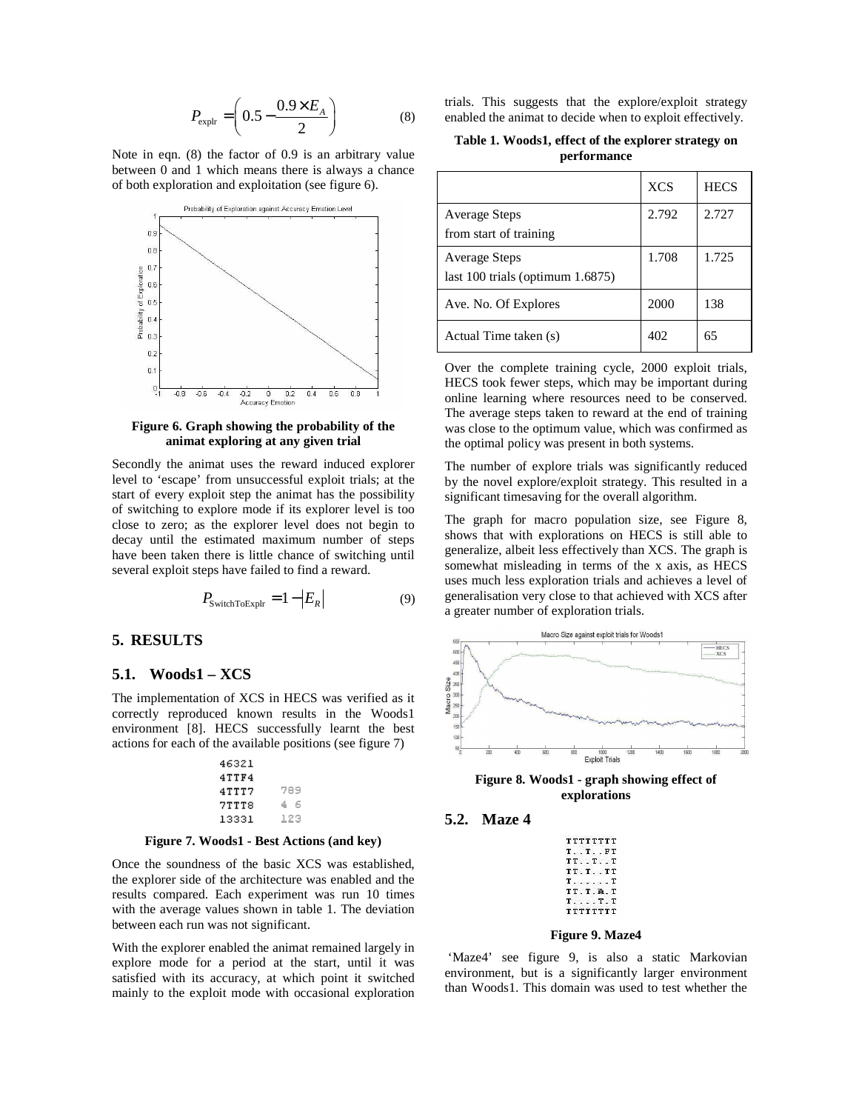$$
P_{\text{explr}} = \left(0.5 - \frac{0.9 \times E_A}{2}\right) \tag{8}
$$

Note in eqn. (8) the factor of 0.9 is an arbitrary value between 0 and 1 which means there is always a chance of both exploration and exploitation (see figure 6).



#### **Figure 6. Graph showing the probability of the animat exploring at any given trial**

Secondly the animat uses the reward induced explorer level to 'escape' from unsuccessful exploit trials; at the start of every exploit step the animat has the possibility of switching to explore mode if its explorer level is too close to zero; as the explorer level does not begin to decay until the estimated maximum number of steps have been taken there is little chance of switching until several exploit steps have failed to find a reward.

$$
P_{\text{SwitchToExplr}} = 1 - |E_R| \tag{9}
$$

## **5. RESULTS**

#### **5.1. Woods1 – XCS**

The implementation of XCS in HECS was verified as it correctly reproduced known results in the Woods1 environment [8]. HECS successfully learnt the best actions for each of the available positions (see figure 7)

| 46321 |     |
|-------|-----|
| 4TTF4 |     |
| 4TTT7 | 789 |
| 7TTT8 | 4 G |
| 13331 | 123 |



Once the soundness of the basic XCS was established, the explorer side of the architecture was enabled and the results compared. Each experiment was run 10 times with the average values shown in table 1. The deviation between each run was not significant.

With the explorer enabled the animat remained largely in explore mode for a period at the start, until it was satisfied with its accuracy, at which point it switched mainly to the exploit mode with occasional exploration trials. This suggests that the explore/exploit strategy enabled the animat to decide when to exploit effectively.

**Table 1. Woods1, effect of the explorer strategy on performance**

|                                                               | <b>XCS</b> | <b>HECS</b> |
|---------------------------------------------------------------|------------|-------------|
| <b>Average Steps</b>                                          | 2.792      | 2.727       |
| from start of training                                        |            |             |
| <b>Average Steps</b><br>last $100$ trials (optimum $1.6875$ ) | 1.708      | 1.725       |
| Ave. No. Of Explores                                          | 2000       | 138         |
| Actual Time taken (s)                                         | 402        | 65          |

Over the complete training cycle, 2000 exploit trials, HECS took fewer steps, which may be important during online learning where resources need to be conserved. The average steps taken to reward at the end of training was close to the optimum value, which was confirmed as the optimal policy was present in both systems.

The number of explore trials was significantly reduced by the novel explore/exploit strategy. This resulted in a significant timesaving for the overall algorithm.

The graph for macro population size, see Figure 8, shows that with explorations on HECS is still able to generalize, albeit less effectively than XCS. The graph is somewhat misleading in terms of the x axis, as HECS uses much less exploration trials and achieves a level of generalisation very close to that achieved with XCS after a greater number of exploration trials.



**Figure 8. Woods1 - graph showing effect of explorations**

## **5.2. Maze 4**

| TTTTTTTT     |  |  |  |  |
|--------------|--|--|--|--|
| T. . T. . F  |  |  |  |  |
| TT. . T. . T |  |  |  |  |
| TT.TTT       |  |  |  |  |
| $T$ . $T$    |  |  |  |  |
| TT.T.A.T     |  |  |  |  |
| T. T. T      |  |  |  |  |
| TTTTTTTT     |  |  |  |  |

#### **Figure 9. Maze4**

'Maze4' see figure 9, is also a static Markovian environment, but is a significantly larger environment than Woods1. This domain was used to test whether the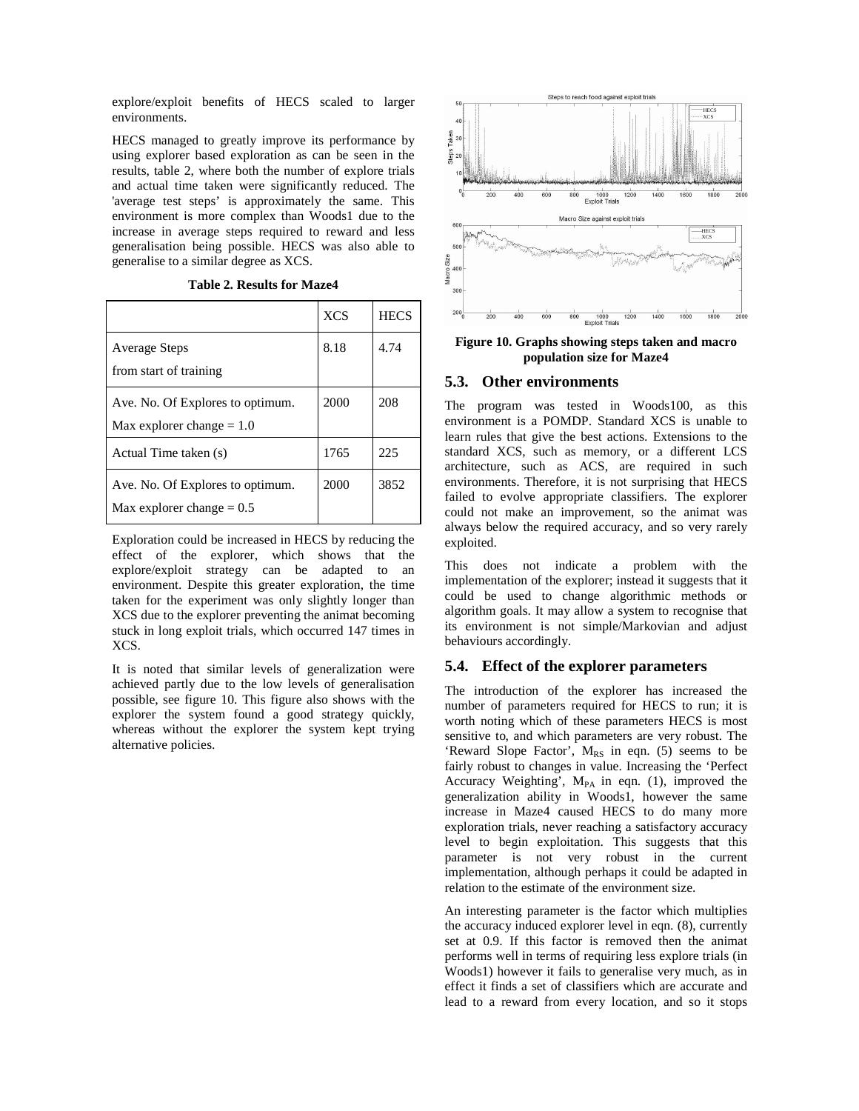explore/exploit benefits of HECS scaled to larger environments.

HECS managed to greatly improve its performance by using explorer based exploration as can be seen in the results, table 2, where both the number of explore trials and actual time taken were significantly reduced. The 'average test steps' is approximately the same. This environment is more complex than Woods1 due to the increase in average steps required to reward and less generalisation being possible. HECS was also able to generalise to a similar degree as XCS.

|  |  | <b>Table 2. Results for Maze4</b> |  |  |
|--|--|-----------------------------------|--|--|
|--|--|-----------------------------------|--|--|

|                                                                 | <b>XCS</b> | <b>HECS</b> |
|-----------------------------------------------------------------|------------|-------------|
| Average Steps<br>from start of training                         | 8.18       | 4.74        |
| Ave. No. Of Explores to optimum.<br>Max explorer change $= 1.0$ | 2000       | 208         |
| Actual Time taken (s)                                           | 1765       | 225         |
| Ave. No. Of Explores to optimum.<br>Max explorer change $= 0.5$ | 2000       | 3852        |

Exploration could be increased in HECS by reducing the effect of the explorer, which shows that the explore/exploit strategy can be adapted to an environment. Despite this greater exploration, the time taken for the experiment was only slightly longer than XCS due to the explorer preventing the animat becoming stuck in long exploit trials, which occurred 147 times in XCS.

It is noted that similar levels of generalization were achieved partly due to the low levels of generalisation possible, see figure 10. This figure also shows with the explorer the system found a good strategy quickly, whereas without the explorer the system kept trying alternative policies.



**Figure 10. Graphs showing steps taken and macro population size for Maze4**

## **5.3. Other environments**

The program was tested in Woods100, as this environment is a POMDP. Standard XCS is unable to learn rules that give the best actions. Extensions to the standard XCS, such as memory, or a different LCS architecture, such as ACS, are required in such environments. Therefore, it is not surprising that HECS failed to evolve appropriate classifiers. The explorer could not make an improvement, so the animat was always below the required accuracy, and so very rarely exploited.

This does not indicate a problem with the implementation of the explorer; instead it suggests that it could be used to change algorithmic methods or algorithm goals. It may allow a system to recognise that its environment is not simple/Markovian and adjust behaviours accordingly.

## **5.4. Effect of the explorer parameters**

The introduction of the explorer has increased the number of parameters required for HECS to run; it is worth noting which of these parameters HECS is most sensitive to, and which parameters are very robust. The 'Reward Slope Factor',  $M_{RS}$  in eqn. (5) seems to be fairly robust to changes in value. Increasing the 'Perfect Accuracy Weighting',  $M_{PA}$  in eqn. (1), improved the generalization ability in Woods1, however the same increase in Maze4 caused HECS to do many more exploration trials, never reaching a satisfactory accuracy level to begin exploitation. This suggests that this parameter is not very robust in the current implementation, although perhaps it could be adapted in relation to the estimate of the environment size.

An interesting parameter is the factor which multiplies the accuracy induced explorer level in eqn. (8), currently set at 0.9. If this factor is removed then the animat performs well in terms of requiring less explore trials (in Woods1) however it fails to generalise very much, as in effect it finds a set of classifiers which are accurate and lead to a reward from every location, and so it stops